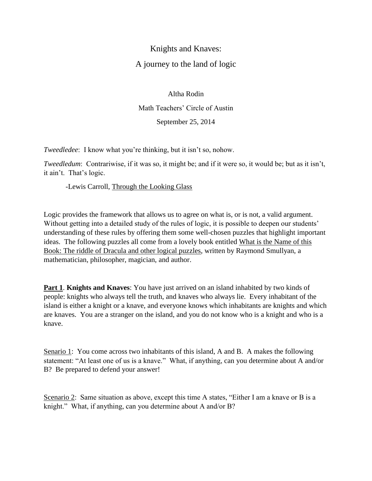## Knights and Knaves: A journey to the land of logic

Altha Rodin Math Teachers' Circle of Austin September 25, 2014

*Tweedledee*: I know what you're thinking, but it isn't so, nohow.

*Tweedledum*: Contrariwise, if it was so, it might be; and if it were so, it would be; but as it isn't, it ain't. That's logic.

-Lewis Carroll, Through the Looking Glass

Logic provides the framework that allows us to agree on what is, or is not, a valid argument. Without getting into a detailed study of the rules of logic, it is possible to deepen our students' understanding of these rules by offering them some well-chosen puzzles that highlight important ideas. The following puzzles all come from a lovely book entitled What is the Name of this Book: The riddle of Dracula and other logical puzzles, written by Raymond Smullyan, a mathematician, philosopher, magician, and author.

**Part 1**. **Knights and Knaves**: You have just arrived on an island inhabited by two kinds of people: knights who always tell the truth, and knaves who always lie. Every inhabitant of the island is either a knight or a knave, and everyone knows which inhabitants are knights and which are knaves. You are a stranger on the island, and you do not know who is a knight and who is a knave.

Senario 1: You come across two inhabitants of this island, A and B. A makes the following statement: "At least one of us is a knave." What, if anything, can you determine about A and/or B? Be prepared to defend your answer!

Scenario 2: Same situation as above, except this time A states, "Either I am a knave or B is a knight." What, if anything, can you determine about A and/or B?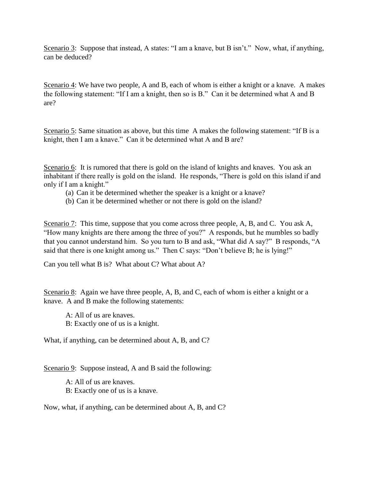Scenario 3: Suppose that instead, A states: "I am a knave, but B isn't." Now, what, if anything, can be deduced?

Scenario 4: We have two people, A and B, each of whom is either a knight or a knave. A makes the following statement: "If I am a knight, then so is B." Can it be determined what A and B are?

Scenario 5: Same situation as above, but this time A makes the following statement: "If B is a knight, then I am a knave." Can it be determined what A and B are?

Scenario 6: It is rumored that there is gold on the island of knights and knaves. You ask an inhabitant if there really is gold on the island. He responds, "There is gold on this island if and only if I am a knight."

- (a) Can it be determined whether the speaker is a knight or a knave?
- (b) Can it be determined whether or not there is gold on the island?

Scenario 7: This time, suppose that you come across three people, A, B, and C. You ask A, "How many knights are there among the three of you?" A responds, but he mumbles so badly that you cannot understand him. So you turn to B and ask, "What did A say?" B responds, "A said that there is one knight among us." Then C says: "Don't believe B; he is lying!"

Can you tell what B is? What about C? What about A?

Scenario 8: Again we have three people, A, B, and C, each of whom is either a knight or a knave. A and B make the following statements:

A: All of us are knaves. B: Exactly one of us is a knight.

What, if anything, can be determined about A, B, and C?

Scenario 9: Suppose instead, A and B said the following:

A: All of us are knaves. B: Exactly one of us is a knave.

Now, what, if anything, can be determined about A, B, and C?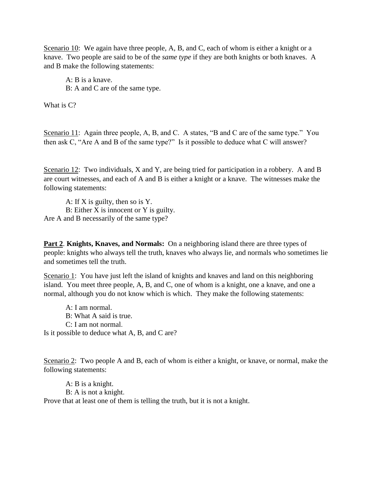Scenario 10: We again have three people, A, B, and C, each of whom is either a knight or a knave. Two people are said to be of the *same type* if they are both knights or both knaves. A and B make the following statements:

A: B is a knave. B: A and C are of the same type.

What is  $C$ ?

Scenario 11: Again three people, A, B, and C. A states, "B and C are of the same type." You then ask C, "Are A and B of the same type?" Is it possible to deduce what C will answer?

Scenario 12: Two individuals, X and Y, are being tried for participation in a robbery. A and B are court witnesses, and each of A and B is either a knight or a knave. The witnesses make the following statements:

A: If X is guilty, then so is Y. B: Either X is innocent or Y is guilty. Are A and B necessarily of the same type?

**Part 2**. **Knights, Knaves, and Normals:** On a neighboring island there are three types of people: knights who always tell the truth, knaves who always lie, and normals who sometimes lie and sometimes tell the truth.

Scenario 1: You have just left the island of knights and knaves and land on this neighboring island. You meet three people, A, B, and C, one of whom is a knight, one a knave, and one a normal, although you do not know which is which. They make the following statements:

A: I am normal. B: What A said is true. C: I am not normal. Is it possible to deduce what A, B, and C are?

Scenario 2: Two people A and B, each of whom is either a knight, or knave, or normal, make the following statements:

A: B is a knight. B: A is not a knight. Prove that at least one of them is telling the truth, but it is not a knight.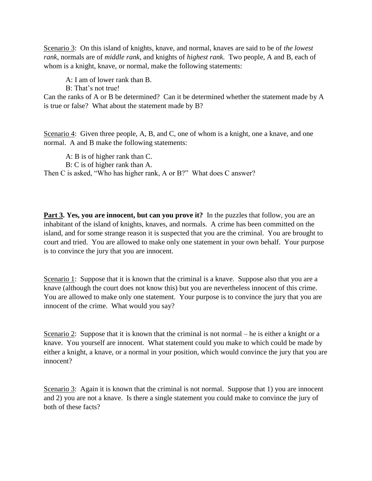Scenario 3: On this island of knights, knave, and normal, knaves are said to be of *the lowest rank*, normals are of *middle rank*, and knights of *highest rank.* Two people, A and B, each of whom is a knight, knave, or normal, make the following statements:

A: I am of lower rank than B.

B: That's not true!

Can the ranks of A or B be determined? Can it be determined whether the statement made by A is true or false? What about the statement made by B?

Scenario 4: Given three people, A, B, and C, one of whom is a knight, one a knave, and one normal. A and B make the following statements:

A: B is of higher rank than C.

B: C is of higher rank than A.

Then C is asked, "Who has higher rank, A or B?" What does C answer?

**Part 3. Yes, you are innocent, but can you prove it?** In the puzzles that follow, you are an inhabitant of the island of knights, knaves, and normals. A crime has been committed on the island, and for some strange reason it is suspected that you are the criminal. You are brought to court and tried. You are allowed to make only one statement in your own behalf. Your purpose is to convince the jury that you are innocent.

Scenario 1: Suppose that it is known that the criminal is a knave. Suppose also that you are a knave (although the court does not know this) but you are nevertheless innocent of this crime. You are allowed to make only one statement. Your purpose is to convince the jury that you are innocent of the crime. What would you say?

Scenario 2: Suppose that it is known that the criminal is not normal – he is either a knight or a knave. You yourself are innocent. What statement could you make to which could be made by either a knight, a knave, or a normal in your position, which would convince the jury that you are innocent?

Scenario 3: Again it is known that the criminal is not normal. Suppose that 1) you are innocent and 2) you are not a knave. Is there a single statement you could make to convince the jury of both of these facts?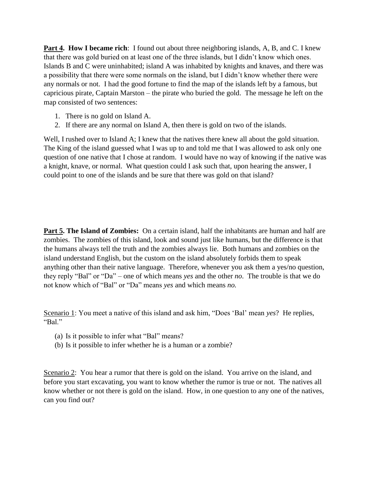**Part 4. How I became rich**: I found out about three neighboring islands, A, B, and C. I knew that there was gold buried on at least one of the three islands, but I didn't know which ones. Islands B and C were uninhabited; island A was inhabited by knights and knaves, and there was a possibility that there were some normals on the island, but I didn't know whether there were any normals or not. I had the good fortune to find the map of the islands left by a famous, but capricious pirate, Captain Marston – the pirate who buried the gold. The message he left on the map consisted of two sentences:

- 1. There is no gold on Island A.
- 2. If there are any normal on Island A, then there is gold on two of the islands.

Well, I rushed over to Island A; I knew that the natives there knew all about the gold situation. The King of the island guessed what I was up to and told me that I was allowed to ask only one question of one native that I chose at random. I would have no way of knowing if the native was a knight, knave, or normal. What question could I ask such that, upon hearing the answer, I could point to one of the islands and be sure that there was gold on that island?

**Part 5. The Island of Zombies:** On a certain island, half the inhabitants are human and half are zombies. The zombies of this island, look and sound just like humans, but the difference is that the humans always tell the truth and the zombies always lie. Both humans and zombies on the island understand English, but the custom on the island absolutely forbids them to speak anything other than their native language. Therefore, whenever you ask them a yes/no question, they reply "Bal" or "Da" – one of which means *yes* and the other *no*. The trouble is that we do not know which of "Bal" or "Da" means *yes* and which means *no.*

Scenario 1: You meet a native of this island and ask him, "Does 'Bal' mean *yes*? He replies, "Bal"

- (a) Is it possible to infer what "Bal" means?
- (b) Is it possible to infer whether he is a human or a zombie?

Scenario 2: You hear a rumor that there is gold on the island. You arrive on the island, and before you start excavating, you want to know whether the rumor is true or not. The natives all know whether or not there is gold on the island. How, in one question to any one of the natives, can you find out?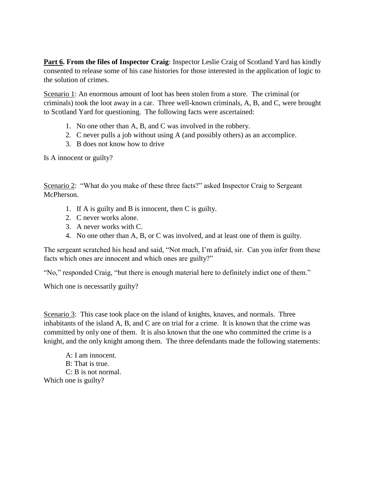**Part 6. From the files of Inspector Craig**: Inspector Leslie Craig of Scotland Yard has kindly consented to release some of his case histories for those interested in the application of logic to the solution of crimes.

Scenario 1: An enormous amount of loot has been stolen from a store. The criminal (or criminals) took the loot away in a car. Three well-known criminals, A, B, and C, were brought to Scotland Yard for questioning. The following facts were ascertained:

- 1. No one other than A, B, and C was involved in the robbery.
- 2. C never pulls a job without using A (and possibly others) as an accomplice.
- 3. B does not know how to drive

Is A innocent or guilty?

Scenario 2: "What do you make of these three facts?" asked Inspector Craig to Sergeant McPherson.

- 1. If A is guilty and B is innocent, then C is guilty.
- 2. C never works alone.
- 3. A never works with C.
- 4. No one other than A, B, or C was involved, and at least one of them is guilty.

The sergeant scratched his head and said, "Not much, I'm afraid, sir. Can you infer from these facts which ones are innocent and which ones are guilty?"

"No," responded Craig, "but there is enough material here to definitely indict one of them."

Which one is necessarily guilty?

Scenario 3: This case took place on the island of knights, knaves, and normals. Three inhabitants of the island A, B, and C are on trial for a crime. It is known that the crime was committed by only one of them. It is also known that the one who committed the crime is a knight, and the only knight among them. The three defendants made the following statements:

A: I am innocent. B: That is true. C: B is not normal. Which one is guilty?